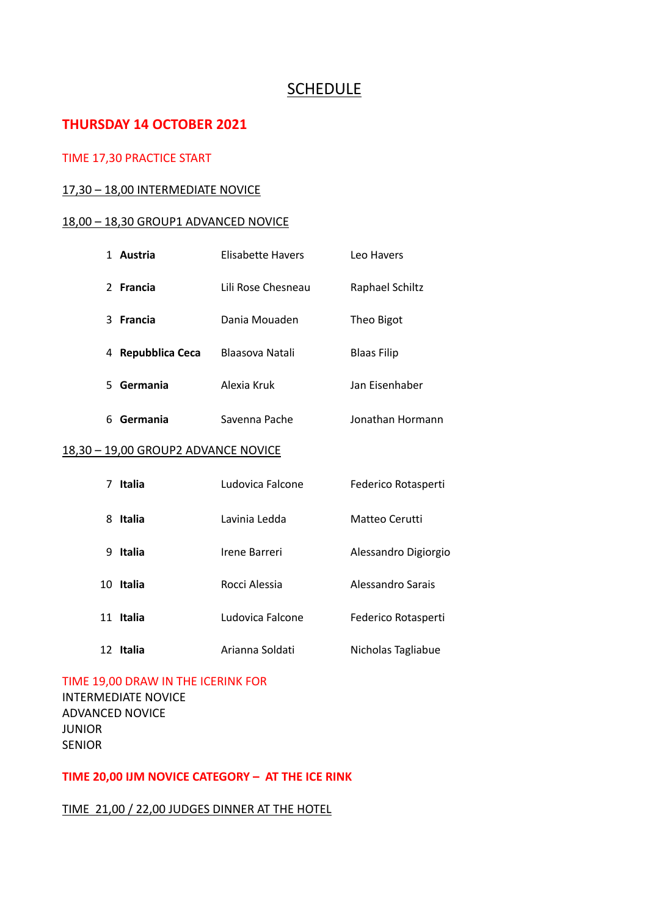## SCHEDULE

## **THURSDAY 14 OCTOBER 2021**

#### TIME 17,30 PRACTICE START

#### 17,30 – 18,00 INTERMEDIATE NOVICE

#### 18,00 – 18,30 GROUP1 ADVANCED NOVICE

| Austria              | Elisabette Havers  | Leo Havers         |
|----------------------|--------------------|--------------------|
| 2 Francia            | Lili Rose Chesneau | Raphael Schiltz    |
| Francia<br>ર         | Dania Mouaden      | Theo Bigot         |
| Repubblica Ceca<br>4 | Blaasova Natali    | <b>Blaas Filip</b> |
| Germania<br>5.       | Alexia Kruk        | Jan Eisenhaber     |
| Germania<br>6        | Savenna Pache      | Jonathan Hormann   |

#### 18,30 – 19,00 GROUP2 ADVANCE NOVICE

| 7  | <b>Italia</b> | Ludovica Falcone | Federico Rotasperti  |
|----|---------------|------------------|----------------------|
| 8  | <b>Italia</b> | Lavinia Ledda    | Matteo Cerutti       |
| 9  | <b>Italia</b> | Irene Barreri    | Alessandro Digiorgio |
| 10 | Italia        | Rocci Alessia    | Alessandro Sarais    |
| 11 | <b>Italia</b> | Ludovica Falcone | Federico Rotasperti  |
| 12 | Italia        | Arianna Soldati  | Nicholas Tagliabue   |

# TIME 19,00 DRAW IN THE ICERINK FOR

INTERMEDIATE NOVICE ADVANCED NOVICE JUNIOR SENIOR

#### **TIME 20,00 IJM NOVICE CATEGORY – AT THE ICE RINK**

TIME 21,00 / 22,00 JUDGES DINNER AT THE HOTEL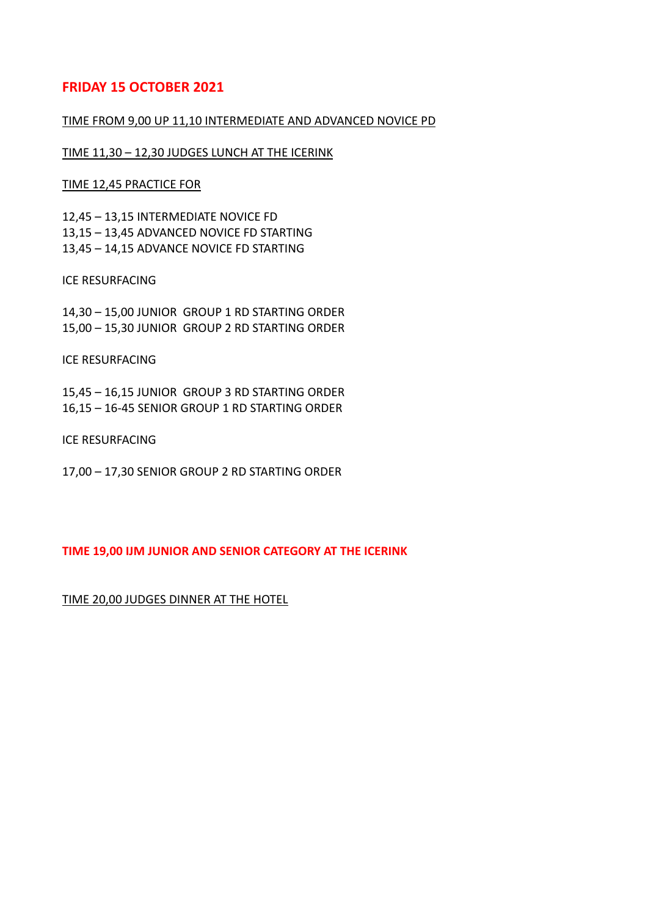### **FRIDAY 15 OCTOBER 2021**

#### TIME FROM 9,00 UP 11,10 INTERMEDIATE AND ADVANCED NOVICE PD

TIME 11,30 – 12,30 JUDGES LUNCH AT THE ICERINK

TIME 12,45 PRACTICE FOR

12,45 – 13,15 INTERMEDIATE NOVICE FD 13,15 – 13,45 ADVANCED NOVICE FD STARTING 13,45 – 14,15 ADVANCE NOVICE FD STARTING

ICE RESURFACING

14,30 – 15,00 JUNIOR GROUP 1 RD STARTING ORDER 15,00 – 15,30 JUNIOR GROUP 2 RD STARTING ORDER

ICE RESURFACING

15,45 – 16,15 JUNIOR GROUP 3 RD STARTING ORDER 16,15 – 16-45 SENIOR GROUP 1 RD STARTING ORDER

ICE RESURFACING

17,00 – 17,30 SENIOR GROUP 2 RD STARTING ORDER

**TIME 19,00 IJM JUNIOR AND SENIOR CATEGORY AT THE ICERINK**

TIME 20,00 JUDGES DINNER AT THE HOTEL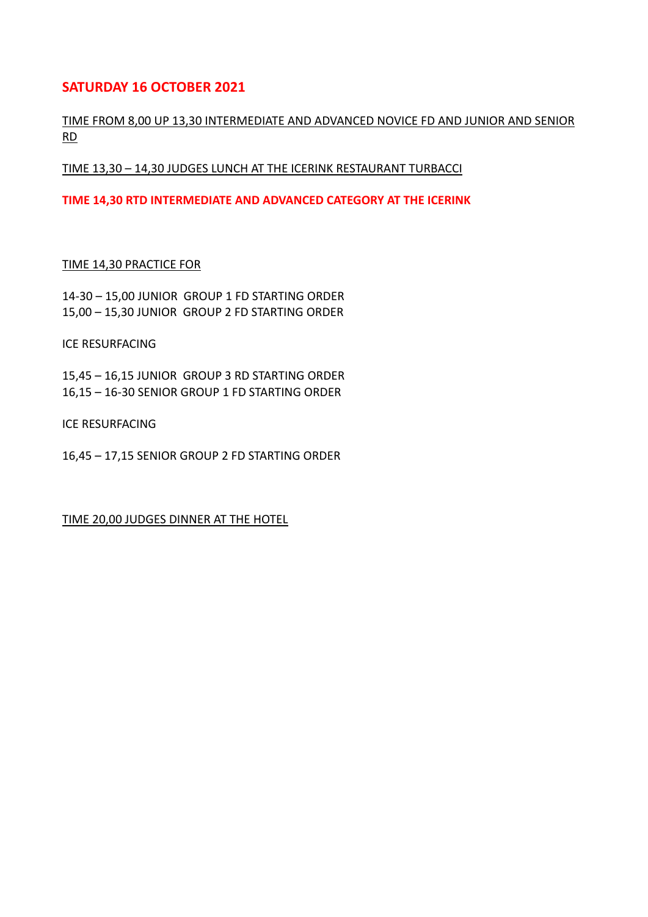## **SATURDAY 16 OCTOBER 2021**

#### TIME FROM 8,00 UP 13,30 INTERMEDIATE AND ADVANCED NOVICE FD AND JUNIOR AND SENIOR RD

TIME 13,30 – 14,30 JUDGES LUNCH AT THE ICERINK RESTAURANT TURBACCI

**TIME 14,30 RTD INTERMEDIATE AND ADVANCED CATEGORY AT THE ICERINK**

#### TIME 14,30 PRACTICE FOR

14-30 – 15,00 JUNIOR GROUP 1 FD STARTING ORDER 15,00 – 15,30 JUNIOR GROUP 2 FD STARTING ORDER

ICE RESURFACING

15,45 – 16,15 JUNIOR GROUP 3 RD STARTING ORDER 16,15 – 16-30 SENIOR GROUP 1 FD STARTING ORDER

ICE RESURFACING

16,45 – 17,15 SENIOR GROUP 2 FD STARTING ORDER

TIME 20,00 JUDGES DINNER AT THE HOTEL